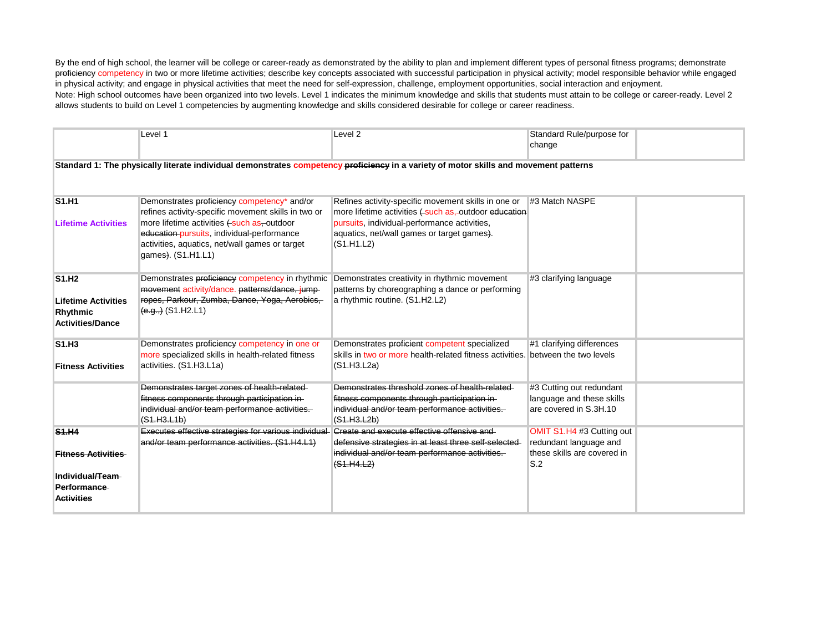By the end of high school, the learner will be college or career-ready as demonstrated by the ability to plan and implement different types of personal fitness programs; demonstrate proficiency competency in two or more lifetime activities; describe key concepts associated with successful participation in physical activity; model responsible behavior while engaged in physical activity; and engage in physical activities that meet the need for self-expression, challenge, employment opportunities, social interaction and enjoyment. Note: High school outcomes have been organized into two levels. Level 1 indicates the minimum knowledge and skills that students must attain to be college or career-ready. Level 2 allows students to build on Level 1 competencies by augmenting knowledge and skills considered desirable for college or career readiness.

|                                                                                        | Level 1                                                                                                                                                                                                                                                                 | Level <sub>2</sub>                                                                                                                                                                                                       | Standard Rule/purpose for                                                                 |  |  |
|----------------------------------------------------------------------------------------|-------------------------------------------------------------------------------------------------------------------------------------------------------------------------------------------------------------------------------------------------------------------------|--------------------------------------------------------------------------------------------------------------------------------------------------------------------------------------------------------------------------|-------------------------------------------------------------------------------------------|--|--|
|                                                                                        |                                                                                                                                                                                                                                                                         |                                                                                                                                                                                                                          | change                                                                                    |  |  |
|                                                                                        | Standard 1: The physically literate individual demonstrates competency proficiency in a variety of motor skills and movement patterns                                                                                                                                   |                                                                                                                                                                                                                          |                                                                                           |  |  |
| <b>S1.H1</b><br><b>Lifetime Activities</b>                                             | Demonstrates proficiency competency* and/or<br>refines activity-specific movement skills in two or<br>more lifetime activities (-such as,-outdoor<br>education-pursuits, individual-performance<br>activities, aquatics, net/wall games or target<br>games). (S1.H1.L1) | Refines activity-specific movement skills in one or<br>more lifetime activities (-such as,-outdoor education<br>pursuits, individual-performance activities,<br>aquatics, net/wall games or target games).<br>(S1.H1.L2) | #3 Match NASPE                                                                            |  |  |
| S1.H <sub>2</sub><br><b>Lifetime Activities</b><br>Rhythmic<br><b>Activities/Dance</b> | Demonstrates proficiency competency in rhythmic<br>movement activity/dance. patterns/dance, jump-<br>ropes, Parkour, Zumba, Dance, Yoga, Aerobics,<br>$(e.g.,)$ (S1.H2.L1)                                                                                              | Demonstrates creativity in rhythmic movement<br>patterns by choreographing a dance or performing<br>a rhythmic routine. (S1.H2.L2)                                                                                       | #3 clarifying language                                                                    |  |  |
| S1.H <sub>3</sub><br><b>Fitness Activities</b>                                         | Demonstrates proficiency competency in one or<br>more specialized skills in health-related fitness<br>activities. (S1.H3.L1a)                                                                                                                                           | Demonstrates proficient competent specialized<br>skills in two or more health-related fitness activities.<br>(S1.H3.L2a)                                                                                                 | #1 clarifying differences<br>between the two levels                                       |  |  |
|                                                                                        | Demonstrates target zones of health-related-<br>fitness components through participation in-<br>individual and/or team performance activities.<br>(S1.H3.L1b)                                                                                                           | Demonstrates threshold zones of health-related<br>fitness components through participation in-<br>individual and/or team performance activities.<br>(S1.H3.L2b)                                                          | #3 Cutting out redundant<br>language and these skills<br>are covered in S.3H.10           |  |  |
| <b>S1.H4</b><br><b>Fitness Activities</b>                                              | Executes effective strategies for various individual<br>and/or team performance activities. (S1.H4.L1)                                                                                                                                                                  | Create and execute effective offensive and<br>defensive strategies in at least three self-selected-<br>individual and/or team performance activities.<br>(S1.H4.L2)                                                      | OMIT S1.H4 #3 Cutting out<br>redundant language and<br>these skills are covered in<br>S.2 |  |  |
| Individual/Team-<br><b>Performance</b><br><b>Activities</b>                            |                                                                                                                                                                                                                                                                         |                                                                                                                                                                                                                          |                                                                                           |  |  |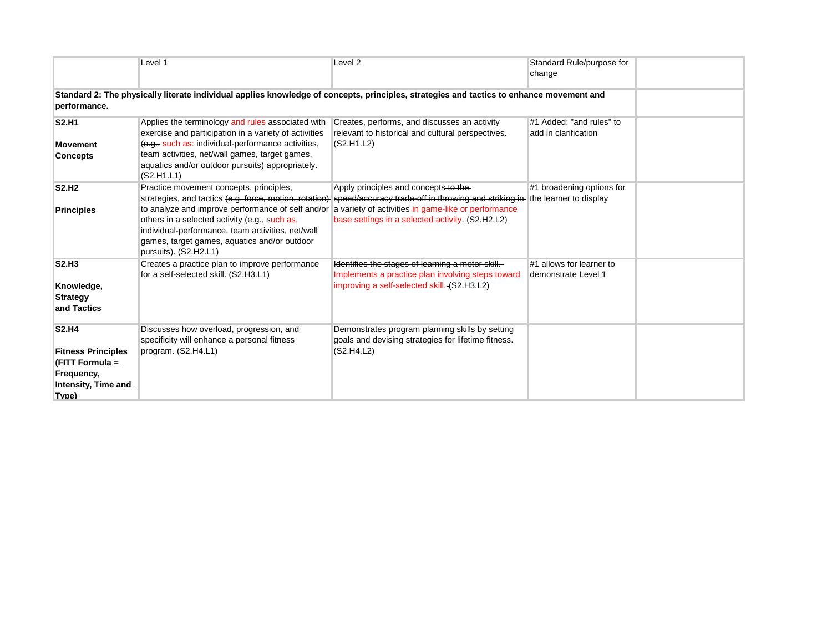|                                                                                                                                                          | Level 1                                                                                                                                                                                                                          | Level <sub>2</sub>                                                                                                                                                         | Standard Rule/purpose for<br>change              |  |
|----------------------------------------------------------------------------------------------------------------------------------------------------------|----------------------------------------------------------------------------------------------------------------------------------------------------------------------------------------------------------------------------------|----------------------------------------------------------------------------------------------------------------------------------------------------------------------------|--------------------------------------------------|--|
| Standard 2: The physically literate individual applies knowledge of concepts, principles, strategies and tactics to enhance movement and<br>performance. |                                                                                                                                                                                                                                  |                                                                                                                                                                            |                                                  |  |
| S2.H1                                                                                                                                                    | Applies the terminology and rules associated with<br>exercise and participation in a variety of activities<br>(e.g., such as: individual-performance activities,                                                                 | Creates, performs, and discusses an activity<br>relevant to historical and cultural perspectives.<br>(S2.H1.L2)                                                            | #1 Added: "and rules" to<br>add in clarification |  |
| <b>Movement</b><br><b>Concepts</b>                                                                                                                       | team activities, net/wall games, target games,<br>aquatics and/or outdoor pursuits) appropriately.<br>(S2.H1.L1)                                                                                                                 |                                                                                                                                                                            |                                                  |  |
| <b>S2.H2</b>                                                                                                                                             | Practice movement concepts, principles,                                                                                                                                                                                          | Apply principles and concepts to the<br>strategies, and tactics (e.g. force, motion, rotation) speed/accuracy trade-off in throwing and striking in the learner to display | #1 broadening options for                        |  |
| <b>Principles</b>                                                                                                                                        | to analyze and improve performance of self and/or<br>others in a selected activity (e.g., such as,<br>individual-performance, team activities, net/wall<br>games, target games, aquatics and/or outdoor<br>pursuits). (S2.H2.L1) | a variety of activities in game-like or performance<br>base settings in a selected activity. (S2.H2.L2)                                                                    |                                                  |  |
| S2.H <sub>3</sub><br>Knowledge,                                                                                                                          | Creates a practice plan to improve performance<br>for a self-selected skill. (S2.H3.L1)                                                                                                                                          | Identifies the stages of learning a motor skill.<br>Implements a practice plan involving steps toward<br>improving a self-selected skill.-(S2.H3.L2)                       | #1 allows for learner to<br>demonstrate Level 1  |  |
| <b>Strategy</b><br>and Tactics                                                                                                                           |                                                                                                                                                                                                                                  |                                                                                                                                                                            |                                                  |  |
| <b>S2.H4</b>                                                                                                                                             | Discusses how overload, progression, and<br>specificity will enhance a personal fitness                                                                                                                                          | Demonstrates program planning skills by setting<br>goals and devising strategies for lifetime fitness.                                                                     |                                                  |  |
| <b>Fitness Principles</b><br>(FITT Formula =<br>Frequency,<br>Intensity, Time and                                                                        | program. (S2.H4.L1)                                                                                                                                                                                                              | (S2.H4.L2)                                                                                                                                                                 |                                                  |  |
| Type)                                                                                                                                                    |                                                                                                                                                                                                                                  |                                                                                                                                                                            |                                                  |  |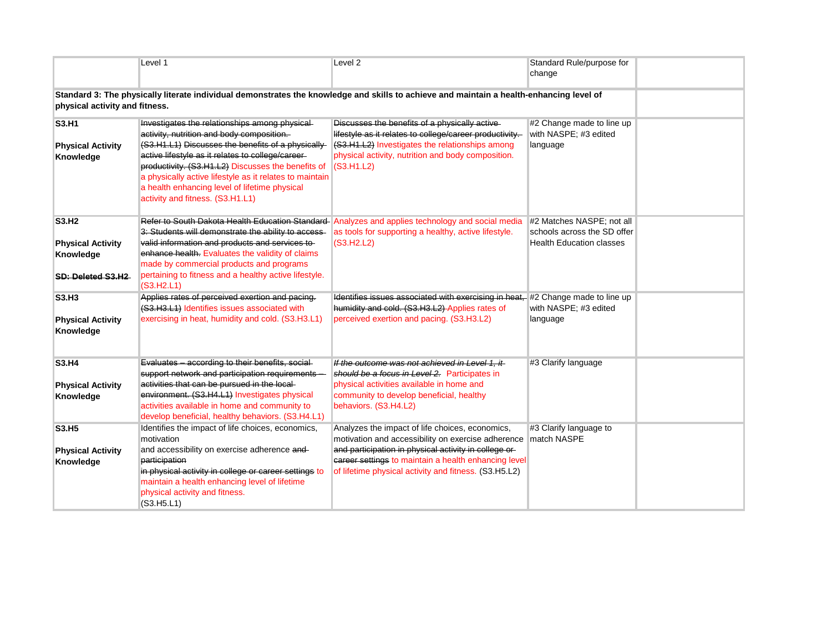|                                                                                                                                                                            | Level 1                                                                                                                                                                                                                                                                                                                                                                                                     | Level 2                                                                                                                                                                                                                                                                                     | Standard Rule/purpose for<br>change                                                         |  |
|----------------------------------------------------------------------------------------------------------------------------------------------------------------------------|-------------------------------------------------------------------------------------------------------------------------------------------------------------------------------------------------------------------------------------------------------------------------------------------------------------------------------------------------------------------------------------------------------------|---------------------------------------------------------------------------------------------------------------------------------------------------------------------------------------------------------------------------------------------------------------------------------------------|---------------------------------------------------------------------------------------------|--|
| Standard 3: The physically literate individual demonstrates the knowledge and skills to achieve and maintain a health-enhancing level of<br>physical activity and fitness. |                                                                                                                                                                                                                                                                                                                                                                                                             |                                                                                                                                                                                                                                                                                             |                                                                                             |  |
| S3.H1<br><b>Physical Activity</b><br>Knowledge                                                                                                                             | Investigates the relationships among physical-<br>activity, nutrition and body composition.<br>(S3.H1.L1) Discusses the benefits of a physically<br>active lifestyle as it relates to college/career-<br>productivity. (S3.H1.L2) Discusses the benefits of<br>a physically active lifestyle as it relates to maintain<br>a health enhancing level of lifetime physical<br>activity and fitness. (S3.H1.L1) | Discusses the benefits of a physically active-<br>lifestyle as it relates to college/career productivity.<br>(S3.H1.L2) Investigates the relationships among<br>physical activity, nutrition and body composition.<br>(S3.H1.L2)                                                            | #2 Change made to line up<br>with NASPE; #3 edited<br>language                              |  |
| S3.H <sub>2</sub><br><b>Physical Activity</b><br>Knowledge<br><b>SD: Deleted S3.H2</b>                                                                                     | 3: Students will demonstrate the ability to access-<br>valid information and products and services to<br>enhance health. Evaluates the validity of claims<br>made by commercial products and programs<br>pertaining to fitness and a healthy active lifestyle.<br>(S3.H2.L1)                                                                                                                                | Refer to South Dakota Health Education Standard Analyzes and applies technology and social media<br>as tools for supporting a healthy, active lifestyle.<br>(S3.H2.L2)                                                                                                                      | #2 Matches NASPE; not all<br>schools across the SD offer<br><b>Health Education classes</b> |  |
| S3.H3<br><b>Physical Activity</b><br>Knowledge                                                                                                                             | Applies rates of perceived exertion and pacing.<br>(S3.H3.L1) Identifies issues associated with<br>exercising in heat, humidity and cold. (S3.H3.L1)                                                                                                                                                                                                                                                        | Identifies issues associated with exercising in heat, #2 Change made to line up<br>humidity and cold. (S3.H3.L2) Applies rates of<br>perceived exertion and pacing. (S3.H3.L2)                                                                                                              | with NASPE; #3 edited<br>language                                                           |  |
| S3.H4<br><b>Physical Activity</b><br>Knowledge                                                                                                                             | Evaluates - according to their benefits, social-<br>support network and participation requirements -<br>activities that can be pursued in the local-<br>environment. (S3.H4.L1) Investigates physical<br>activities available in home and community to<br>develop beneficial, healthy behaviors. (S3.H4.L1)                                                                                                 | If the outcome was not achieved in Level 1, it<br>should be a focus in Level 2. Participates in<br>physical activities available in home and<br>community to develop beneficial, healthy<br>behaviors. (S3.H4.L2)                                                                           | #3 Clarify language                                                                         |  |
| S3.H5<br><b>Physical Activity</b><br>Knowledge                                                                                                                             | Identifies the impact of life choices, economics,<br>motivation<br>and accessibility on exercise adherence and-<br>participation<br>in physical activity in college or career settings to<br>maintain a health enhancing level of lifetime<br>physical activity and fitness.<br>(S3.H5.L1)                                                                                                                  | Analyzes the impact of life choices, economics,<br>motivation and accessibility on exercise adherence match NASPE<br>and participation in physical activity in college or-<br>career settings to maintain a health enhancing level<br>of lifetime physical activity and fitness. (S3.H5.L2) | #3 Clarify language to                                                                      |  |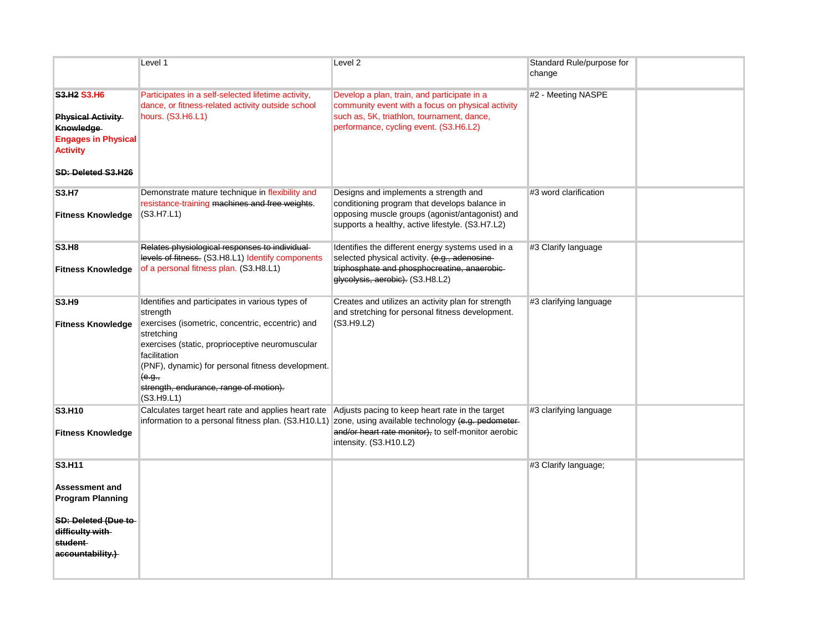|                                                                                                                                                      | Level 1                                                                                                                                                                                                                                                                                                                 | Level 2                                                                                                                                                                                       | Standard Rule/purpose for<br>change |
|------------------------------------------------------------------------------------------------------------------------------------------------------|-------------------------------------------------------------------------------------------------------------------------------------------------------------------------------------------------------------------------------------------------------------------------------------------------------------------------|-----------------------------------------------------------------------------------------------------------------------------------------------------------------------------------------------|-------------------------------------|
| S3.H <sub>2</sub> S3.H <sub>6</sub><br><b>Physical Activity</b><br>Knowledge-<br><b>Engages in Physical</b><br><b>Activity</b><br>SD: Deleted S3.H26 | Participates in a self-selected lifetime activity,<br>dance, or fitness-related activity outside school<br>hours. (S3.H6.L1)                                                                                                                                                                                            | Develop a plan, train, and participate in a<br>community event with a focus on physical activity<br>such as, 5K, triathlon, tournament, dance,<br>performance, cycling event. (S3.H6.L2)      | #2 - Meeting NASPE                  |
| <b>S3.H7</b><br><b>Fitness Knowledge</b>                                                                                                             | Demonstrate mature technique in flexibility and<br>resistance-training machines and free weights.<br>(S3.H7.L1)                                                                                                                                                                                                         | Designs and implements a strength and<br>conditioning program that develops balance in<br>opposing muscle groups (agonist/antagonist) and<br>supports a healthy, active lifestyle. (S3.H7.L2) | #3 word clarification               |
| <b>S3.H8</b><br><b>Fitness Knowledge</b>                                                                                                             | Relates physiological responses to individual<br>levels of fitness. (S3.H8.L1) Identify components<br>of a personal fitness plan. (S3.H8.L1)                                                                                                                                                                            | Identifies the different energy systems used in a<br>selected physical activity. (e.g., adenosine-<br>triphosphate and phosphocreatine, anaerobic-<br>glycolysis, aerobic). (S3.H8.L2)        | #3 Clarify language                 |
| S3.H9<br><b>Fitness Knowledge</b>                                                                                                                    | Identifies and participates in various types of<br>strength<br>exercises (isometric, concentric, eccentric) and<br>stretching<br>exercises (static, proprioceptive neuromuscular<br>facilitation<br>(PNF), dynamic) for personal fitness development.<br>(e.g.,<br>strength, endurance, range of motion).<br>(S3.H9.L1) | Creates and utilizes an activity plan for strength<br>and stretching for personal fitness development.<br>(S3.H9.L2)                                                                          | #3 clarifying language              |
| S3.H10<br><b>Fitness Knowledge</b>                                                                                                                   | Calculates target heart rate and applies heart rate Adjusts pacing to keep heart rate in the target<br>information to a personal fitness plan. (S3.H10.L1) zone, using available technology (e.g. pedometer-                                                                                                            | and/or heart rate monitor), to self-monitor aerobic<br>intensity. (S3.H10.L2)                                                                                                                 | #3 clarifying language              |
| S3.H11<br><b>Assessment and</b><br><b>Program Planning</b><br><b>SD: Deleted (Due to-</b><br>difficulty with                                         |                                                                                                                                                                                                                                                                                                                         |                                                                                                                                                                                               | #3 Clarify language;                |
| student-<br>accountability.                                                                                                                          |                                                                                                                                                                                                                                                                                                                         |                                                                                                                                                                                               |                                     |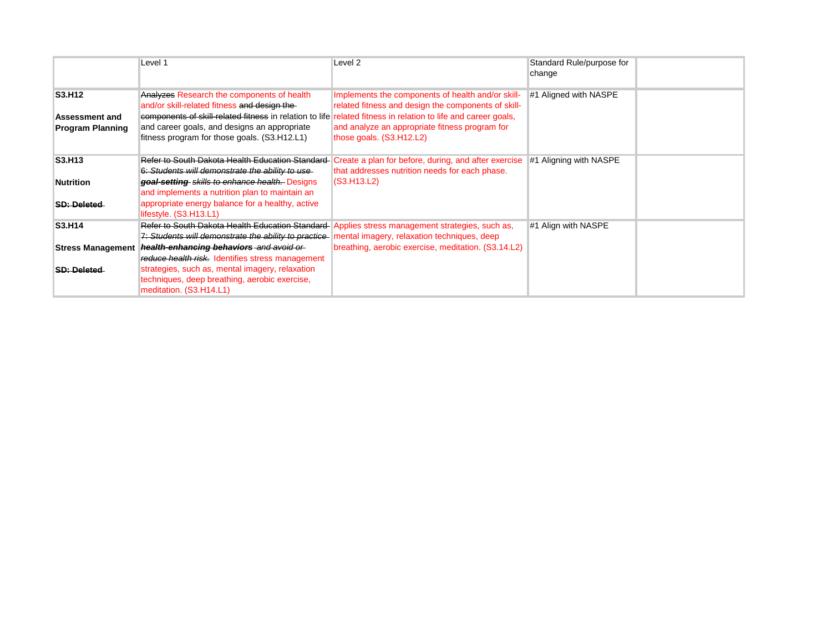|                          | Level 1                                                                                                       | Level 2                                                                                              | Standard Rule/purpose for<br>change |
|--------------------------|---------------------------------------------------------------------------------------------------------------|------------------------------------------------------------------------------------------------------|-------------------------------------|
|                          |                                                                                                               |                                                                                                      |                                     |
| S3.H12                   | Analyzes Research the components of health                                                                    | Implements the components of health and/or skill-                                                    | #1 Aligned with NASPE               |
|                          | and/or skill-related fitness and design the                                                                   | related fitness and design the components of skill-                                                  |                                     |
| Assessment and           | components of skill-related fitness in relation to life related fitness in relation to life and career goals, |                                                                                                      |                                     |
| <b>Program Planning</b>  | and career goals, and designs an appropriate                                                                  | and analyze an appropriate fitness program for                                                       |                                     |
|                          | fitness program for those goals. (S3.H12.L1)                                                                  | those goals. $(S3.H12.L2)$                                                                           |                                     |
|                          |                                                                                                               |                                                                                                      |                                     |
| S3.H <sub>13</sub>       |                                                                                                               | Refer to South Dakota Health Education Standard Create a plan for before, during, and after exercise | #1 Aligning with NASPE              |
|                          | 6: Students will demonstrate the ability to use                                                               | that addresses nutrition needs for each phase.                                                       |                                     |
| <b>Nutrition</b>         | goal-setting skills to enhance health. Designs                                                                | (S3.H13.L2)                                                                                          |                                     |
|                          | and implements a nutrition plan to maintain an                                                                |                                                                                                      |                                     |
| <b>SD: Deleted</b>       | appropriate energy balance for a healthy, active                                                              |                                                                                                      |                                     |
|                          | lifestyle. (S3.H13.L1)                                                                                        |                                                                                                      |                                     |
| S3.H14                   | Refer to South Dakota Health Education Standard Applies stress management strategies, such as,                |                                                                                                      | #1 Align with NASPE                 |
|                          | 7: Students will demonstrate the ability to practice mental imagery, relaxation techniques, deep              |                                                                                                      |                                     |
| <b>Stress Management</b> | health-enhancing behaviors and avoid or                                                                       | breathing, aerobic exercise, meditation. (S3.14.L2)                                                  |                                     |
|                          | reduce health risk. Identifies stress management                                                              |                                                                                                      |                                     |
| <b>SD: Deleted</b>       | strategies, such as, mental imagery, relaxation                                                               |                                                                                                      |                                     |
|                          | techniques, deep breathing, aerobic exercise,                                                                 |                                                                                                      |                                     |
|                          | meditation. (S3.H14.L1)                                                                                       |                                                                                                      |                                     |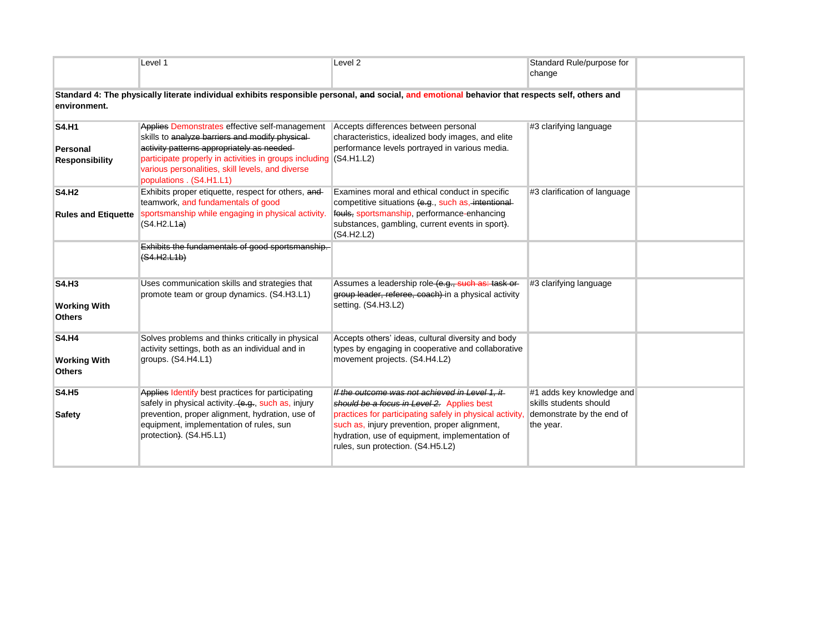|                                                                                                                                                                 | Level 1                                                                                                                                                                                                                                                                                              | Level <sub>2</sub>                                                                                                                                                                                                                                                                                | Standard Rule/purpose for<br>change                                                           |  |
|-----------------------------------------------------------------------------------------------------------------------------------------------------------------|------------------------------------------------------------------------------------------------------------------------------------------------------------------------------------------------------------------------------------------------------------------------------------------------------|---------------------------------------------------------------------------------------------------------------------------------------------------------------------------------------------------------------------------------------------------------------------------------------------------|-----------------------------------------------------------------------------------------------|--|
| Standard 4: The physically literate individual exhibits responsible personal, and social, and emotional behavior that respects self, others and<br>environment. |                                                                                                                                                                                                                                                                                                      |                                                                                                                                                                                                                                                                                                   |                                                                                               |  |
| <b>S4.H1</b><br>Personal<br><b>Responsibility</b>                                                                                                               | Applies Demonstrates effective self-management<br>skills to analyze barriers and modify physical-<br>activity patterns appropriately as needed-<br>participate properly in activities in groups including (S4.H1.L2)<br>various personalities, skill levels, and diverse<br>populations . (S4.H1.L1) | Accepts differences between personal<br>characteristics, idealized body images, and elite<br>performance levels portrayed in various media.                                                                                                                                                       | #3 clarifying language                                                                        |  |
| <b>S4.H2</b><br><b>Rules and Etiquette</b>                                                                                                                      | Exhibits proper etiquette, respect for others, and-<br>teamwork, and fundamentals of good<br>sportsmanship while engaging in physical activity.<br>(S4.H2.L1a)                                                                                                                                       | Examines moral and ethical conduct in specific<br>competitive situations (e.g., such as, intentional<br>fouls, sportsmanship, performance-enhancing<br>substances, gambling, current events in sport).<br>(S4.H2.L2)                                                                              | #3 clarification of language                                                                  |  |
|                                                                                                                                                                 | Exhibits the fundamentals of good sportsmanship.<br>(S4.H2.L1b)                                                                                                                                                                                                                                      |                                                                                                                                                                                                                                                                                                   |                                                                                               |  |
| S4.H3<br><b>Working With</b><br><b>Others</b>                                                                                                                   | Uses communication skills and strategies that<br>promote team or group dynamics. (S4.H3.L1)                                                                                                                                                                                                          | Assumes a leadership role (e.g., such as: task or-<br>group leader, referee, coach) in a physical activity<br>setting. (S4.H3.L2)                                                                                                                                                                 | #3 clarifying language                                                                        |  |
| <b>S4.H4</b><br><b>Working With</b><br><b>Others</b>                                                                                                            | Solves problems and thinks critically in physical<br>activity settings, both as an individual and in<br>groups. $(S4.H4.L1)$                                                                                                                                                                         | Accepts others' ideas, cultural diversity and body<br>types by engaging in cooperative and collaborative<br>movement projects. (S4.H4.L2)                                                                                                                                                         |                                                                                               |  |
| <b>S4.H5</b><br><b>Safety</b>                                                                                                                                   | Applies Identify best practices for participating<br>safely in physical activity. (e.g., such as, injury<br>prevention, proper alignment, hydration, use of<br>equipment, implementation of rules, sun<br>protection). (S4.H5.L1)                                                                    | If the outcome was not achieved in Level 1, it-<br>should be a focus in Level 2. Applies best<br>practices for participating safely in physical activity,<br>such as, injury prevention, proper alignment,<br>hydration, use of equipment, implementation of<br>rules, sun protection. (S4.H5.L2) | #1 adds key knowledge and<br>skills students should<br>demonstrate by the end of<br>the year. |  |